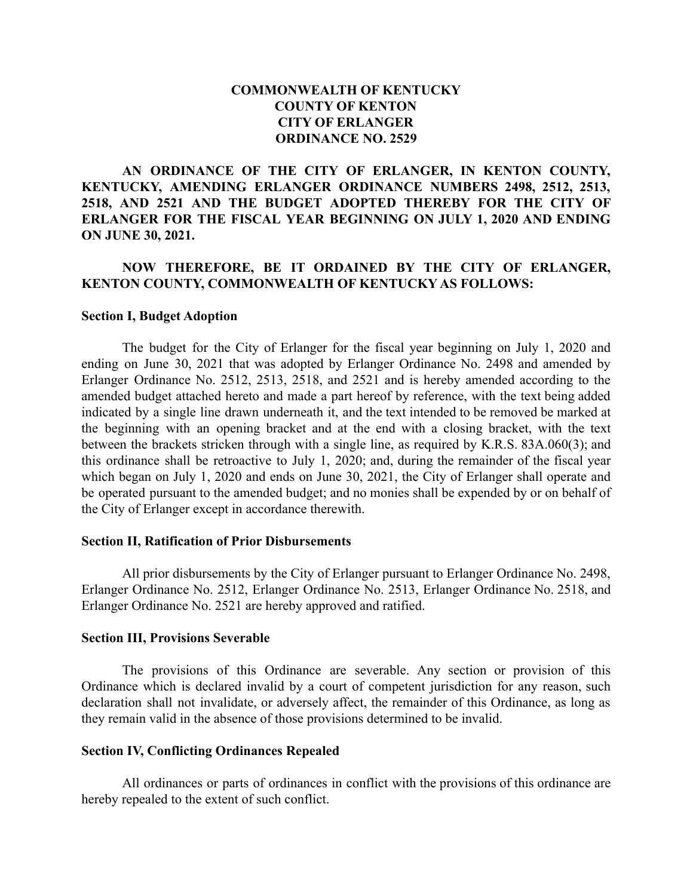## **COMMONWEALTH OF KENTUCKY COUNTY OF KENTON CITY OF ERLANGER ORDINANCE NO. 2529**

**AN ORDINANCE OF THE CITY OF ERLANGER, IN KENTON COUNTY, KENTUCKY, AMENDING ERLANGER ORDINANCE NUMBERS 2498, 2512, 2513, 2518, AND 2521 AND THE BUDGET ADOPTED THEREBY FOR THE CITY OF ERLANGER FOR THE FISCAL YEAR BEGINNING ON JULY 1, 2020 AND ENDING ON JUNE 30, 2021.**

## **NOW THEREFORE, BE IT ORDAINED BY THE CITY OF ERLANGER, KENTON COUNTY, COMMONWEALTH OF KENTUCKY AS FOLLOWS:**

#### **Section I, Budget Adoption**

The budget for the City of Erlanger for the fiscal year beginning on July 1, 2020 and ending on June 30, 2021 that was adopted by Erlanger Ordinance No. 2498 and amended by Erlanger Ordinance No. 2512, 2513, 2518, and 2521 and is hereby amended according to the amended budget attached hereto and made a part hereof by reference, with the text being added indicated by a single line drawn underneath it, and the text intended to be removed be marked at the beginning with an opening bracket and at the end with a closing bracket, with the text between the brackets stricken through with a single line, as required by K.R.S. 83A.060(3); and this ordinance shall be retroactive to July 1, 2020; and, during the remainder of the fiscal year which began on July 1, 2020 and ends on June 30, 2021, the City of Erlanger shall operate and be operated pursuant to the amended budget; and no monies shall be expended by or on behalf of the City of Erlanger except in accordance therewith.

#### **Section II, Ratification of Prior Disbursements**

All prior disbursements by the City of Erlanger pursuant to Erlanger Ordinance No. 2498, Erlanger Ordinance No. 2512, Erlanger Ordinance No. 2513, Erlanger Ordinance No. 2518, and Erlanger Ordinance No. 2521 are hereby approved and ratified.

#### **Section III, Provisions Severable**

The provisions of this Ordinance are severable. Any section or provision of this Ordinance which is declared invalid by a court of competent jurisdiction for any reason, such declaration shall not invalidate, or adversely affect, the remainder of this Ordinance, as long as they remain valid in the absence of those provisions determined to be invalid.

#### **Section IV, Conflicting Ordinances Repealed**

All ordinances or parts of ordinances in conflict with the provisions of this ordinance are hereby repealed to the extent of such conflict.